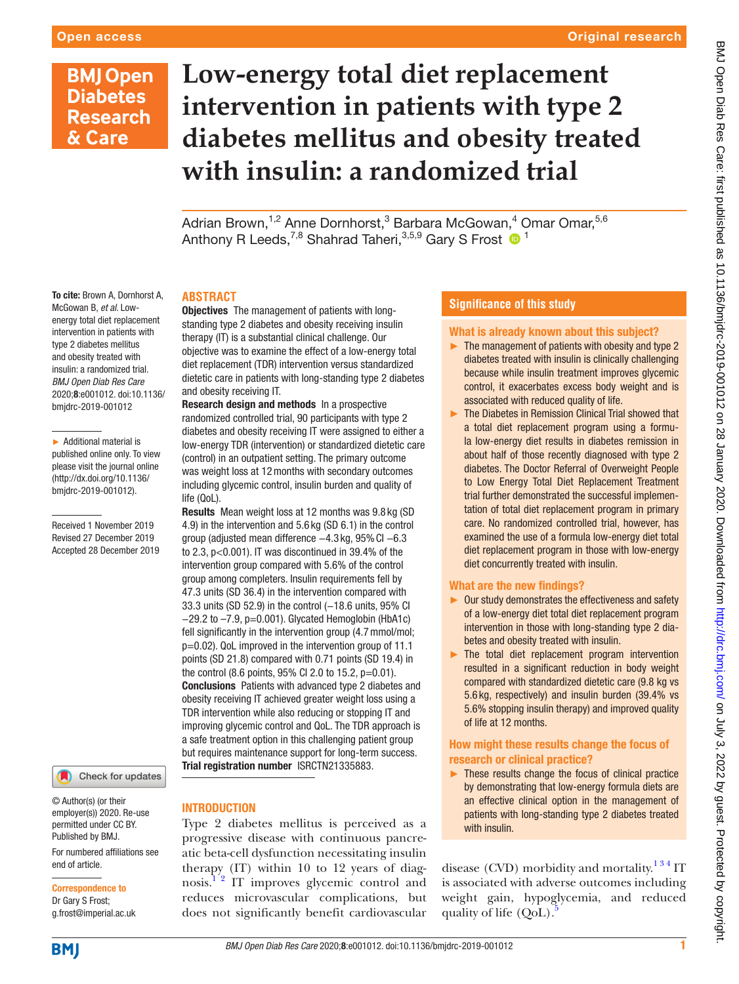# **BMJ Open Diabetes Research** & Care

# **Low-energy total diet replacement intervention in patients with type 2 diabetes mellitus and obesity treated with insulin: a randomized trial**

Adrian Brown,<sup>1,2</sup> Anne Dornhorst,<sup>3</sup> Barbara McGowan,<sup>4</sup> Omar Omar,<sup>5,6</sup> Anthony R Leeds,<sup>7,8</sup> Shahrad Taheri,<sup>3,5,9</sup> Gary S Frost <sup>1</sup>

# **Abstract**

Objectives The management of patients with longstanding type 2 diabetes and obesity receiving insulin therapy (IT) is a substantial clinical challenge. Our objective was to examine the effect of a low-energy total diet replacement (TDR) intervention versus standardized dietetic care in patients with long-standing type 2 diabetes and obesity receiving IT.

Research design and methods In a prospective randomized controlled trial, 90 participants with type 2 diabetes and obesity receiving IT were assigned to either a low-energy TDR (intervention) or standardized dietetic care (control) in an outpatient setting. The primary outcome was weight loss at 12months with secondary outcomes including glycemic control, insulin burden and quality of life (QoL).

Results Mean weight loss at 12 months was 9.8 kg (SD 4.9) in the intervention and 5.6 kg (SD 6.1) in the control group (adjusted mean difference −4.3 kg, 95%CI −6.3 to 2.3, p<0.001). IT was discontinued in 39.4% of the intervention group compared with 5.6% of the control group among completers. Insulin requirements fell by 47.3 units (SD 36.4) in the intervention compared with 33.3 units (SD 52.9) in the control (-18.6 units, 95% CI −29.2 to –7.9, p=0.001). Glycated Hemoglobin (HbA1c) fell significantly in the intervention group (4.7 mmol/mol; p=0.02). QoL improved in the intervention group of 11.1 points (SD 21.8) compared with 0.71 points (SD 19.4) in the control  $(8.6 \text{ points}, 95\% \text{ Cl } 2.0 \text{ to } 15.2, \text{ p} = 0.01).$ Conclusions Patients with advanced type 2 diabetes and obesity receiving IT achieved greater weight loss using a TDR intervention while also reducing or stopping IT and improving glycemic control and QoL. The TDR approach is a safe treatment option in this challenging patient group but requires maintenance support for long-term success. Trial registration number <ISRCTN21335883>.

#### To cite: Brown A, Dornhorst A, McGowan B, *et al*. Lowenergy total diet replacement intervention in patients with type 2 diabetes mellitus and obesity treated with insulin: a randomized trial. *BMJ Open Diab Res Care* 2020;8:e001012. doi:10.1136/ bmjdrc-2019-001012

► Additional material is published online only. To view please visit the journal online (http://dx.doi.org/10.1136/ bmjdrc-2019-001012).

Received 1 November 2019 Revised 27 December 2019 Accepted 28 December 2019

Check for updates

© Author(s) (or their employer(s)) 2020. Re-use permitted under CC BY. Published by BMJ.

For numbered affiliations see end of article.

Correspondence to Dr Gary S Frost; g.frost@imperial.ac.uk

# **INTRODUCTION**

Type 2 diabetes mellitus is perceived as a progressive disease with continuous pancreatic beta-cell dysfunction necessitating insulin therapy (IT) within 10 to 12 years of diagnosis.<sup>12</sup> IT improves glycemic control and reduces microvascular complications, but does not significantly benefit cardiovascular

# **Significance of this study**

# What is already known about this subject?

- ► The management of patients with obesity and type 2 diabetes treated with insulin is clinically challenging because while insulin treatment improves glycemic control, it exacerbates excess body weight and is associated with reduced quality of life.
- ► The Diabetes in Remission Clinical Trial showed that a total diet replacement program using a formula low-energy diet results in diabetes remission in about half of those recently diagnosed with type 2 diabetes. The Doctor Referral of Overweight People to Low Energy Total Diet Replacement Treatment trial further demonstrated the successful implementation of total diet replacement program in primary care. No randomized controlled trial, however, has examined the use of a formula low-energy diet total diet replacement program in those with low-energy diet concurrently treated with insulin.

# What are the new findings?

- ► Our study demonstrates the effectiveness and safety of a low-energy diet total diet replacement program intervention in those with long-standing type 2 diabetes and obesity treated with insulin.
- ► The total diet replacement program intervention resulted in a significant reduction in body weight compared with standardized dietetic care (9.8 kg vs 5.6 kg, respectively) and insulin burden (39.4% vs 5.6% stopping insulin therapy) and improved quality of life at 12 months.

# How might these results change the focus of research or clinical practice?

► These results change the focus of clinical practice by demonstrating that low-energy formula diets are an effective clinical option in the management of patients with long-standing type 2 diabetes treated with insulin.

disease (CVD) morbidity and mortality.<sup>134</sup> IT is associated with adverse outcomes including weight gain, hypoglycemia, and reduced quality of life  $(QoL)$ .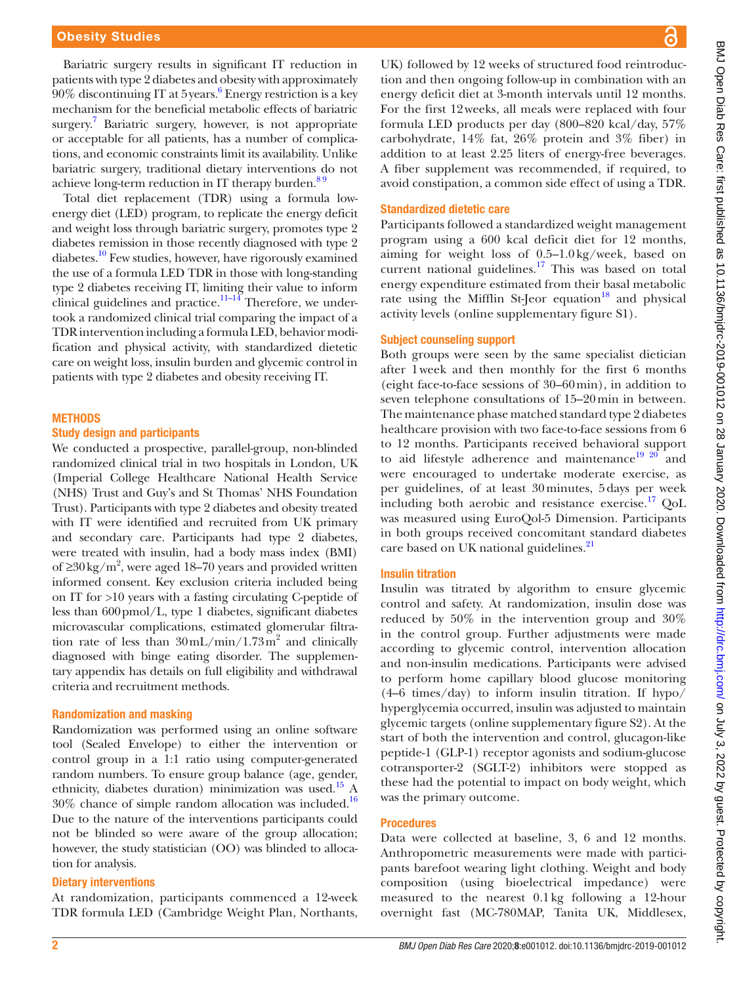Bariatric surgery results in significant IT reduction in patients with type 2 diabetes and obesity with approximately  $90\%$  discontinuing IT at 5 years.<sup>[6](#page-8-2)</sup> Energy restriction is a key mechanism for the beneficial metabolic effects of bariatric surgery.<sup>[7](#page-8-3)</sup> Bariatric surgery, however, is not appropriate or acceptable for all patients, has a number of complications, and economic constraints limit its availability. Unlike bariatric surgery, traditional dietary interventions do not achieve long-term reduction in IT therapy burden. $89$ 

Total diet replacement (TDR) using a formula lowenergy diet (LED) program, to replicate the energy deficit and weight loss through bariatric surgery, promotes type 2 diabetes remission in those recently diagnosed with type 2 diabetes.<sup>10</sup> Few studies, however, have rigorously examined the use of a formula LED TDR in those with long-standing type 2 diabetes receiving IT, limiting their value to inform clinical guidelines and practice. $11-14$  Therefore, we undertook a randomized clinical trial comparing the impact of a TDR intervention including a formula LED, behavior modification and physical activity, with standardized dietetic care on weight loss, insulin burden and glycemic control in patients with type 2 diabetes and obesity receiving IT.

#### **METHODS**

## Study design and participants

We conducted a prospective, parallel-group, non-blinded randomized clinical trial in two hospitals in London, UK (Imperial College Healthcare National Health Service (NHS) Trust and Guy's and St Thomas' NHS Foundation Trust). Participants with type 2 diabetes and obesity treated with IT were identified and recruited from UK primary and secondary care. Participants had type 2 diabetes, were treated with insulin, had a body mass index (BMI) of ≥30 kg/m<sup>2</sup>, were aged 18–70 years and provided written informed consent. Key exclusion criteria included being on IT for >10 years with a fasting circulating C-peptide of less than 600pmol/L, type 1 diabetes, significant diabetes microvascular complications, estimated glomerular filtration rate of less than  $30 \text{ mL/min} / 1.73 \text{ m}^2$  and clinically diagnosed with binge eating disorder. The supplementary appendix has details on full eligibility and withdrawal criteria and recruitment methods.

#### Randomization and masking

Randomization was performed using an online software tool (Sealed Envelope) to either the intervention or control group in a 1:1 ratio using computer-generated random numbers. To ensure group balance (age, gender, ethnicity, diabetes duration) minimization was used.[15](#page-8-7) A 30% chance of simple random allocation was included.[16](#page-8-8) Due to the nature of the interventions participants could not be blinded so were aware of the group allocation; however, the study statistician (OO) was blinded to allocation for analysis.

#### Dietary interventions

At randomization, participants commenced a 12-week TDR formula LED (Cambridge Weight Plan, Northants,

UK) followed by 12 weeks of structured food reintroduction and then ongoing follow-up in combination with an energy deficit diet at 3-month intervals until 12 months. For the first 12weeks, all meals were replaced with four formula LED products per day (800–820 kcal/day, 57% carbohydrate, 14% fat, 26% protein and 3% fiber) in addition to at least 2.25 liters of energy-free beverages. A fiber supplement was recommended, if required, to avoid constipation, a common side effect of using a TDR.

#### Standardized dietetic care

Participants followed a standardized weight management program using a 600 kcal deficit diet for 12 months, aiming for weight loss of 0.5–1.0kg/week, based on current national guidelines.<sup>[17](#page-8-9)</sup> This was based on total energy expenditure estimated from their basal metabolic rate using the Mifflin St-Jeor equation<sup>18</sup> and physical activity levels ([online supplementary figure S1\)](https://dx.doi.org/10.1136/bmjdrc-2019-001012).

#### Subject counseling support

Both groups were seen by the same specialist dietician after 1week and then monthly for the first 6 months (eight face-to-face sessions of 30–60min), in addition to seven telephone consultations of 15–20min in between. The maintenance phase matched standard type 2 diabetes healthcare provision with two face-to-face sessions from 6 to 12 months. Participants received behavioral support to aid lifestyle adherence and maintenance<sup>[19 20](#page-8-11)</sup> and were encouraged to undertake moderate exercise, as per guidelines, of at least 30minutes, 5days per week including both aerobic and resistance exercise.<sup>17</sup> OoL was measured using EuroQol-5 Dimension. Participants in both groups received concomitant standard diabetes care based on UK national guidelines.<sup>[21](#page-8-12)</sup>

#### Insulin titration

Insulin was titrated by algorithm to ensure glycemic control and safety. At randomization, insulin dose was reduced by 50% in the intervention group and 30% in the control group. Further adjustments were made according to glycemic control, intervention allocation and non-insulin medications. Participants were advised to perform home capillary blood glucose monitoring (4–6 times/day) to inform insulin titration. If hypo/ hyperglycemia occurred, insulin was adjusted to maintain glycemic targets [\(online supplementary figure S2](https://dx.doi.org/10.1136/bmjdrc-2019-001012)). At the start of both the intervention and control, glucagon-like peptide-1 (GLP-1) receptor agonists and sodium-glucose cotransporter-2 (SGLT-2) inhibitors were stopped as these had the potential to impact on body weight, which was the primary outcome.

#### **Procedures**

Data were collected at baseline, 3, 6 and 12 months. Anthropometric measurements were made with participants barefoot wearing light clothing. Weight and body composition (using bioelectrical impedance) were measured to the nearest 0.1kg following a 12-hour overnight fast (MC-780MAP, Tanita UK, Middlesex,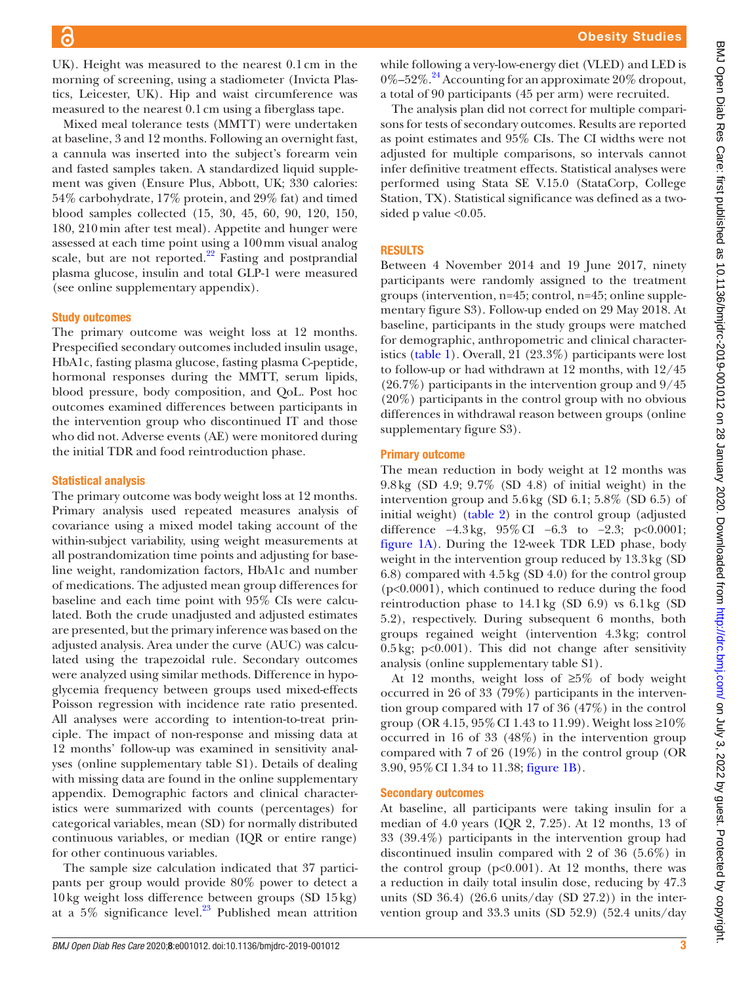UK). Height was measured to the nearest 0.1cm in the morning of screening, using a stadiometer (Invicta Plastics, Leicester, UK). Hip and waist circumference was measured to the nearest 0.1cm using a fiberglass tape.

Mixed meal tolerance tests (MMTT) were undertaken at baseline, 3 and 12 months. Following an overnight fast, a cannula was inserted into the subject's forearm vein and fasted samples taken. A standardized liquid supplement was given (Ensure Plus, Abbott, UK; 330 calories: 54% carbohydrate, 17% protein, and 29% fat) and timed blood samples collected (15, 30, 45, 60, 90, 120, 150, 180, 210min after test meal). Appetite and hunger were assessed at each time point using a 100mm visual analog scale, but are not reported. $^{22}$  Fasting and postprandial plasma glucose, insulin and total GLP-1 were measured (see [online supplementary appendix](https://dx.doi.org/10.1136/bmjdrc-2019-001012)).

#### Study outcomes

The primary outcome was weight loss at 12 months. Prespecified secondary outcomes included insulin usage, HbA1c, fasting plasma glucose, fasting plasma C-peptide, hormonal responses during the MMTT, serum lipids, blood pressure, body composition, and QoL. Post hoc outcomes examined differences between participants in the intervention group who discontinued IT and those who did not. Adverse events (AE) were monitored during the initial TDR and food reintroduction phase.

#### Statistical analysis

The primary outcome was body weight loss at 12 months. Primary analysis used repeated measures analysis of covariance using a mixed model taking account of the within-subject variability, using weight measurements at all postrandomization time points and adjusting for baseline weight, randomization factors, HbA1c and number of medications. The adjusted mean group differences for baseline and each time point with 95% CIs were calculated. Both the crude unadjusted and adjusted estimates are presented, but the primary inference was based on the adjusted analysis. Area under the curve (AUC) was calculated using the trapezoidal rule. Secondary outcomes were analyzed using similar methods. Difference in hypoglycemia frequency between groups used mixed-effects Poisson regression with incidence rate ratio presented. All analyses were according to intention-to-treat principle. The impact of non-response and missing data at 12 months' follow-up was examined in sensitivity analyses [\(online supplementary table S1\)](https://dx.doi.org/10.1136/bmjdrc-2019-001012). Details of dealing with missing data are found in the online supplementary appendix. Demographic factors and clinical characteristics were summarized with counts (percentages) for categorical variables, mean (SD) for normally distributed continuous variables, or median (IQR or entire range) for other continuous variables.

The sample size calculation indicated that 37 participants per group would provide 80% power to detect a 10kg weight loss difference between groups (SD 15kg) at a  $5\%$  significance level.<sup>23</sup> Published mean attrition

while following a very-low-energy diet (VLED) and LED is  $0\%$ –52%.<sup>24</sup> Accounting for an approximate 20% dropout, a total of 90 participants (45 per arm) were recruited.

The analysis plan did not correct for multiple comparisons for tests of secondary outcomes. Results are reported as point estimates and 95% CIs. The CI widths were not adjusted for multiple comparisons, so intervals cannot infer definitive treatment effects. Statistical analyses were performed using Stata SE V.15.0 (StataCorp, College Station, TX). Statistical significance was defined as a twosided p value  $< 0.05$ .

# **RESULTS**

Between 4 November 2014 and 19 June 2017, ninety participants were randomly assigned to the treatment groups (intervention, n=45; control, n=45; [online supple](https://dx.doi.org/10.1136/bmjdrc-2019-001012)[mentary figure S3\)](https://dx.doi.org/10.1136/bmjdrc-2019-001012). Follow-up ended on 29 May 2018. At baseline, participants in the study groups were matched for demographic, anthropometric and clinical characteristics [\(table](#page-3-0) 1). Overall, 21 (23.3%) participants were lost to follow-up or had withdrawn at 12 months, with 12/45 (26.7%) participants in the intervention group and 9/45 (20%) participants in the control group with no obvious differences in withdrawal reason between groups [\(online](https://dx.doi.org/10.1136/bmjdrc-2019-001012) [supplementary figure S3](https://dx.doi.org/10.1136/bmjdrc-2019-001012)).

#### Primary outcome

The mean reduction in body weight at 12 months was 9.8kg (SD 4.9; 9.7% (SD 4.8) of initial weight) in the intervention group and 5.6kg (SD 6.1; 5.8% (SD 6.5) of initial weight) [\(table](#page-4-0) 2) in the control group (adjusted difference −4.3kg, 95%CI −6.3 to −2.3; p<0.0001; [figure](#page-5-0) 1A). During the 12-week TDR LED phase, body weight in the intervention group reduced by 13.3kg (SD 6.8) compared with 4.5kg (SD 4.0) for the control group (p<0.0001), which continued to reduce during the food reintroduction phase to 14.1kg (SD 6.9) vs 6.1kg (SD 5.2), respectively. During subsequent 6 months, both groups regained weight (intervention 4.3kg; control 0.5kg; p<0.001). This did not change after sensitivity analysis [\(online supplementary table S1](https://dx.doi.org/10.1136/bmjdrc-2019-001012)).

At 12 months, weight loss of  $\geq 5\%$  of body weight occurred in 26 of 33 (79%) participants in the intervention group compared with 17 of 36 (47%) in the control group (OR 4.15, 95% CI 1.43 to 11.99). Weight loss  $\geq 10\%$ occurred in 16 of 33 (48%) in the intervention group compared with 7 of 26 (19%) in the control group (OR 3.90, 95%CI 1.34 to 11.38; [figure](#page-5-0) 1B).

#### Secondary outcomes

At baseline, all participants were taking insulin for a median of 4.0 years (IQR 2, 7.25). At 12 months, 13 of 33 (39.4%) participants in the intervention group had discontinued insulin compared with 2 of 36 (5.6%) in the control group  $(p<0.001)$ . At 12 months, there was a reduction in daily total insulin dose, reducing by 47.3 units (SD 36.4) (26.6 units/day (SD 27.2)) in the intervention group and 33.3 units (SD 52.9) (52.4 units/day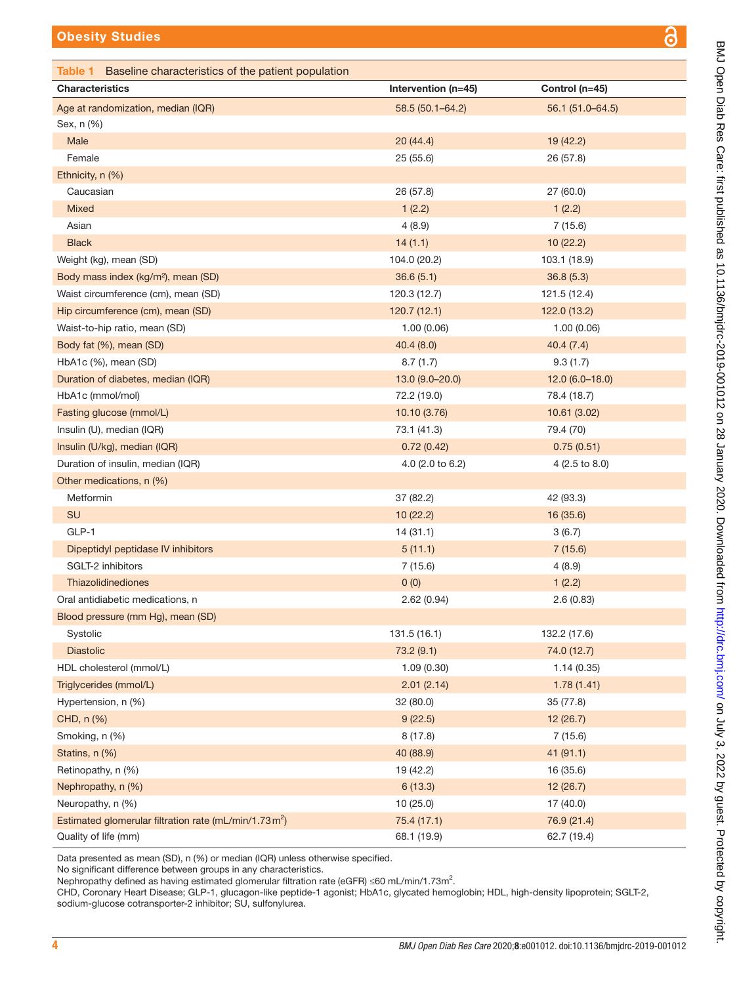<span id="page-3-0"></span>

| <b>Characteristics</b>                                    | Intervention (n=45) | Control (n=45)   |
|-----------------------------------------------------------|---------------------|------------------|
| Age at randomization, median (IQR)                        | 58.5 (50.1-64.2)    | 56.1 (51.0-64.5) |
| Sex, n (%)                                                |                     |                  |
| Male                                                      | 20(44.4)            | 19(42.2)         |
| Female                                                    | 25 (55.6)           | 26 (57.8)        |
| Ethnicity, n (%)                                          |                     |                  |
| Caucasian                                                 | 26 (57.8)           | 27 (60.0)        |
| Mixed                                                     | 1(2.2)              | 1(2.2)           |
| Asian                                                     | 4(8.9)              | 7(15.6)          |
| <b>Black</b>                                              | 14(1.1)             | 10 (22.2)        |
| Weight (kg), mean (SD)                                    | 104.0 (20.2)        | 103.1 (18.9)     |
| Body mass index (kg/m <sup>2</sup> ), mean (SD)           | 36.6(5.1)           | 36.8(5.3)        |
| Waist circumference (cm), mean (SD)                       | 120.3 (12.7)        | 121.5 (12.4)     |
| Hip circumference (cm), mean (SD)                         | 120.7(12.1)         | 122.0(13.2)      |
| Waist-to-hip ratio, mean (SD)                             | 1.00(0.06)          | 1.00(0.06)       |
| Body fat (%), mean (SD)                                   | 40.4(8.0)           | 40.4(7.4)        |
| HbA1c (%), mean (SD)                                      | 8.7(1.7)            | 9.3(1.7)         |
| Duration of diabetes, median (IQR)                        | $13.0(9.0-20.0)$    | $12.0(6.0-18.0)$ |
| HbA1c (mmol/mol)                                          | 72.2 (19.0)         | 78.4 (18.7)      |
| Fasting glucose (mmol/L)                                  | 10.10 (3.76)        | 10.61 (3.02)     |
| Insulin (U), median (IQR)                                 | 73.1 (41.3)         | 79.4 (70)        |
| Insulin (U/kg), median (IQR)                              | 0.72(0.42)          | 0.75(0.51)       |
| Duration of insulin, median (IQR)                         | 4.0 (2.0 to 6.2)    | 4 (2.5 to 8.0)   |
| Other medications, n (%)                                  |                     |                  |
| Metformin                                                 | 37 (82.2)           | 42 (93.3)        |
| SU                                                        | 10 (22.2)           | 16 (35.6)        |
| GLP-1                                                     | 14(31.1)            | 3(6.7)           |
| Dipeptidyl peptidase IV inhibitors                        | 5(11.1)             | 7(15.6)          |
| SGLT-2 inhibitors                                         | 7(15.6)             | 4(8.9)           |
| Thiazolidinediones                                        | 0(0)                | 1(2.2)           |
| Oral antidiabetic medications, n                          | 2.62 (0.94)         | 2.6(0.83)        |
| Blood pressure (mm Hg), mean (SD)                         |                     |                  |
| Systolic                                                  | 131.5 (16.1)        | 132.2 (17.6)     |
| <b>Diastolic</b>                                          | 73.2(9.1)           | 74.0 (12.7)      |
| HDL cholesterol (mmol/L)                                  | 1.09(0.30)          | 1.14(0.35)       |
| Triglycerides (mmol/L)                                    | 2.01(2.14)          | 1.78(1.41)       |
| Hypertension, n (%)                                       | 32 (80.0)           | 35 (77.8)        |
| CHD, n (%)                                                | 9(22.5)             | 12 (26.7)        |
| Smoking, n (%)                                            | 8(17.8)             | 7(15.6)          |
| Statins, n (%)                                            | 40 (88.9)           | 41(91.1)         |
| Retinopathy, n (%)                                        | 19 (42.2)           | 16 (35.6)        |
| Nephropathy, n (%)                                        | 6(13.3)             | 12(26.7)         |
| Neuropathy, n (%)                                         | 10(25.0)            | 17 (40.0)        |
| Estimated glomerular filtration rate (mL/min/1.73 $m^2$ ) | 75.4 (17.1)         | 76.9 (21.4)      |
| Quality of life (mm)                                      | 68.1 (19.9)         | 62.7 (19.4)      |

Data presented as mean (SD), n (%) or median (IQR) unless otherwise specified.

No significant difference between groups in any characteristics.

Nephropathy defined as having estimated glomerular filtration rate (eGFR)  $\leq$ 60 mL/min/1.73m<sup>2</sup>.

CHD, Coronary Heart Disease; GLP-1, glucagon-like peptide-1 agonist; HbA1c, glycated hemoglobin; HDL, high-density lipoprotein; SGLT-2, sodium-glucose cotransporter-2 inhibitor; SU, sulfonylurea.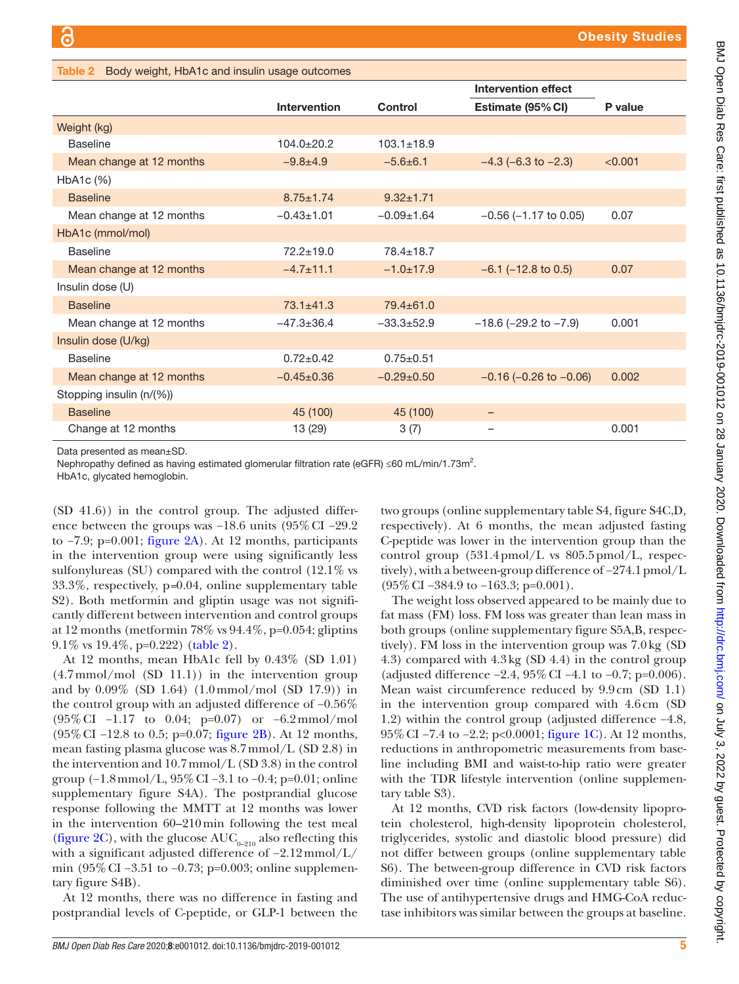|                          |                     |                  | <b>Intervention effect</b>     |         |
|--------------------------|---------------------|------------------|--------------------------------|---------|
|                          | <b>Intervention</b> | Control          | Estimate (95% CI)              | P value |
| Weight (kg)              |                     |                  |                                |         |
| <b>Baseline</b>          | $104.0 \pm 20.2$    | $103.1 \pm 18.9$ |                                |         |
| Mean change at 12 months | $-9.8 + 4.9$        | $-5.6\pm 6.1$    | $-4.3$ (-6.3 to $-2.3$ )       | < 0.001 |
| HbA1c (%)                |                     |                  |                                |         |
| <b>Baseline</b>          | $8.75 + 1.74$       | $9.32 + 1.71$    |                                |         |
| Mean change at 12 months | $-0.43 \pm 1.01$    | $-0.09 \pm 1.64$ | $-0.56$ ( $-1.17$ to 0.05)     | 0.07    |
| HbA1c (mmol/mol)         |                     |                  |                                |         |
| <b>Baseline</b>          | $72.2 + 19.0$       | $78.4 + 18.7$    |                                |         |
| Mean change at 12 months | $-4.7 + 11.1$       | $-1.0+17.9$      | $-6.1$ ( $-12.8$ to 0.5)       | 0.07    |
| Insulin dose (U)         |                     |                  |                                |         |
| <b>Baseline</b>          | $73.1 \pm 41.3$     | $79.4 \pm 61.0$  |                                |         |
| Mean change at 12 months | $-47.3 \pm 36.4$    | $-33.3+52.9$     | $-18.6$ ( $-29.2$ to $-7.9$ )  | 0.001   |
| Insulin dose (U/kg)      |                     |                  |                                |         |
| <b>Baseline</b>          | $0.72 \pm 0.42$     | $0.75 \pm 0.51$  |                                |         |
| Mean change at 12 months | $-0.45+0.36$        | $-0.29+0.50$     | $-0.16$ ( $-0.26$ to $-0.06$ ) | 0.002   |
| Stopping insulin (n/(%)) |                     |                  |                                |         |
| <b>Baseline</b>          | 45 (100)            | 45 (100)         |                                |         |
| Change at 12 months      | 13 (29)             | 3(7)             |                                | 0.001   |

Data presented as mean±SD.

Nephropathy defined as having estimated glomerular filtration rate (eGFR) ≤60 mL/min/1.73m<sup>2</sup>.

HbA1c, glycated hemoglobin.

(SD 41.6)) in the control group. The adjusted difference between the groups was −18.6 units (95%CI −29.2 to −7.9; p=0.001; [figure](#page-5-1) 2A). At 12 months, participants in the intervention group were using significantly less sulfonylureas (SU) compared with the control (12.1% vs 33.3%, respectively, p*=*0.04, [online supplementary table](https://dx.doi.org/10.1136/bmjdrc-2019-001012) [S2](https://dx.doi.org/10.1136/bmjdrc-2019-001012)). Both metformin and gliptin usage was not significantly different between intervention and control groups at 12 months (metformin  $78\%$  vs  $94.4\%$ , p=0.054; gliptins 9.1% vs 19.4%, p=0.222) [\(table](#page-4-0) 2).

<span id="page-4-0"></span>Table 2 Body weight, HbA1c and insulin usage outcomes

At 12 months, mean HbA1c fell by 0.43% (SD 1.01)  $(4.7 \text{mmol/mol}$  (SD 11.1)) in the intervention group and by 0.09% (SD 1.64) (1.0mmol/mol (SD 17.9)) in the control group with an adjusted difference of −0.56% (95%CI −1.17 to 0.04; p=0.07) or −6.2mmol/mol (95%CI −12.8 to 0.5; p=0.07; [figure](#page-5-1) 2B). At 12 months, mean fasting plasma glucose was 8.7mmol/L (SD 2.8) in the intervention and 10.7mmol/L (SD 3.8) in the control group  $(-1.8 \text{mmol/L}, 95\% \text{ CI} -3.1 \text{ to } -0.4; \text{p} = 0.01; \text{online}$ [supplementary figure S4A](https://dx.doi.org/10.1136/bmjdrc-2019-001012)). The postprandial glucose response following the MMTT at 12 months was lower in the intervention 60–210min following the test meal [\(figure](#page-5-1) 2C), with the glucose  $AUC_{0-210}$  also reflecting this with a significant adjusted difference of −2.12mmol/L/ min (95% CI –3.51 to –0.73; p=0.003; [online supplemen](https://dx.doi.org/10.1136/bmjdrc-2019-001012)[tary figure S4B](https://dx.doi.org/10.1136/bmjdrc-2019-001012)).

At 12 months, there was no difference in fasting and postprandial levels of C-peptide, or GLP-1 between the two groups [\(online supplementary table S4, figure S4C,D,](https://dx.doi.org/10.1136/bmjdrc-2019-001012) respectively). At 6 months, the mean adjusted fasting C-peptide was lower in the intervention group than the control group  $(531.4 \text{pmol/L} \text{ vs } 805.5 \text{pmol/L} \text{, respectively.}$ tively), with a between-group difference of −274.1pmol/L (95%CI −384.9 to −163.3; p=0.001).

The weight loss observed appeared to be mainly due to fat mass (FM) loss. FM loss was greater than lean mass in both groups [\(online supplementary figure S5A,B](https://dx.doi.org/10.1136/bmjdrc-2019-001012), respectively). FM loss in the intervention group was 7.0kg (SD 4.3) compared with 4.3kg (SD 4.4) in the control group (adjusted difference −2.4, 95%CI −4.1 to −0.7; p=0.006). Mean waist circumference reduced by 9.9cm (SD 1.1) in the intervention group compared with 4.6cm (SD 1.2) within the control group (adjusted difference −4.8, 95%CI −7.4 to −2.2; p<0.0001; [figure](#page-5-0) 1C). At 12 months, reductions in anthropometric measurements from baseline including BMI and waist-to-hip ratio were greater with the TDR lifestyle intervention [\(online supplemen](https://dx.doi.org/10.1136/bmjdrc-2019-001012)[tary table S3](https://dx.doi.org/10.1136/bmjdrc-2019-001012)).

At 12 months, CVD risk factors (low-density lipoprotein cholesterol, high-density lipoprotein cholesterol, triglycerides, systolic and diastolic blood pressure) did not differ between groups [\(online supplementary table](https://dx.doi.org/10.1136/bmjdrc-2019-001012) [S6](https://dx.doi.org/10.1136/bmjdrc-2019-001012)). The between-group difference in CVD risk factors diminished over time [\(online supplementary table S6](https://dx.doi.org/10.1136/bmjdrc-2019-001012)). The use of antihypertensive drugs and HMG-CoA reductase inhibitors was similar between the groups at baseline.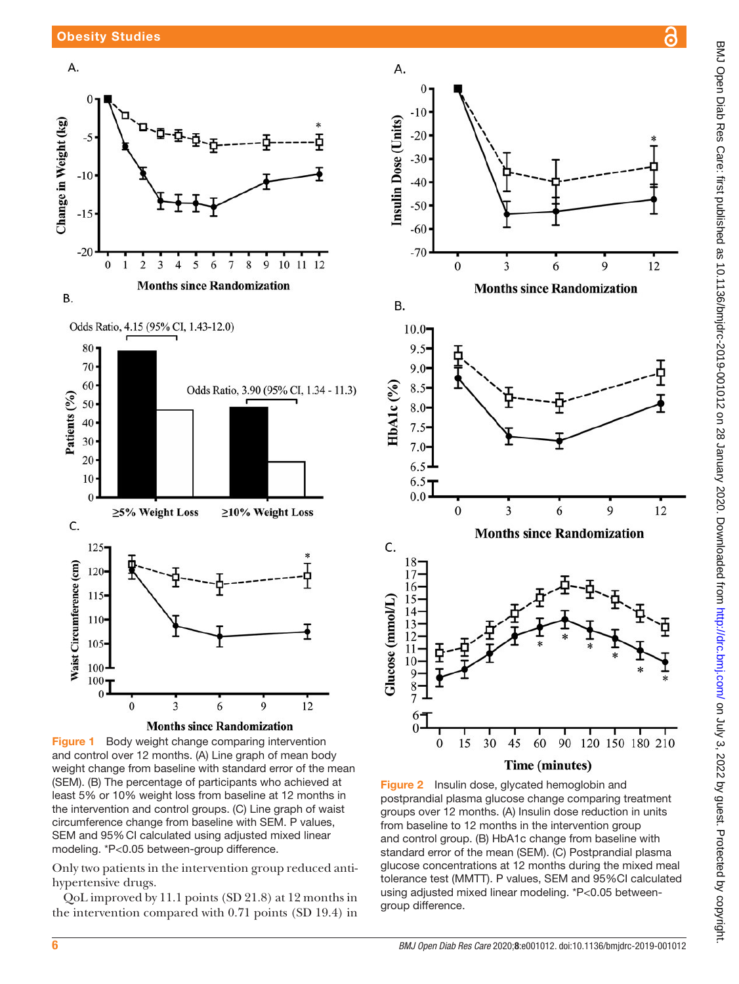





<span id="page-5-0"></span>Figure 1 Body weight change comparing intervention and control over 12 months. (A) Line graph of mean body weight change from baseline with standard error of the mean (SEM). (B) The percentage of participants who achieved at least 5% or 10% weight loss from baseline at 12 months in the intervention and control groups. (C) Line graph of waist circumference change from baseline with SEM. P values, SEM and 95%CI calculated using adjusted mixed linear modeling. \*P<0.05 between-group difference.

Only two patients in the intervention group reduced antihypertensive drugs.

QoL improved by 11.1 points (SD 21.8) at 12 months in the intervention compared with 0.71 points (SD 19.4) in



<span id="page-5-1"></span>Figure 2 Insulin dose, glycated hemoglobin and postprandial plasma glucose change comparing treatment groups over 12 months. (A) Insulin dose reduction in units from baseline to 12 months in the intervention group and control group. (B) HbA1c change from baseline with standard error of the mean (SEM). (C) Postprandial plasma glucose concentrations at 12 months during the mixed meal tolerance test (MMTT). P values, SEM and 95%CI calculated using adjusted mixed linear modeling. \*P<0.05 betweengroup difference.

ဥ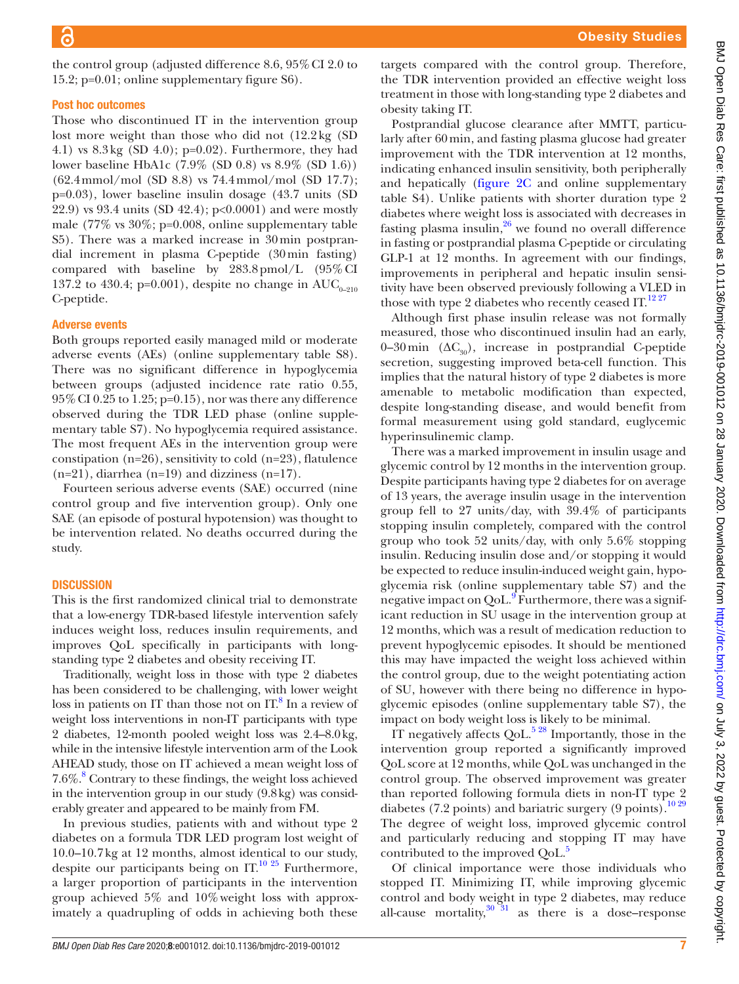the control group (adjusted difference 8.6, 95%CI 2.0 to 15.2; p=0.01; [online supplementary figure S6\)](https://dx.doi.org/10.1136/bmjdrc-2019-001012).

#### Post hoc outcomes

Those who discontinued IT in the intervention group lost more weight than those who did not (12.2kg (SD 4.1) vs 8.3kg (SD 4.0); p=0.02). Furthermore, they had lower baseline HbA1c (7.9% (SD 0.8) vs 8.9% (SD 1.6)) (62.4mmol/mol (SD 8.8) vs 74.4mmol/mol (SD 17.7); p=0.03), lower baseline insulin dosage (43.7 units (SD 22.9) vs 93.4 units (SD 42.4); p<0.0001) and were mostly male  $(77\% \text{ vs } 30\%; \text{p=0.008}, \text{online supplementary table})$  $(77\% \text{ vs } 30\%; \text{p=0.008}, \text{online supplementary table})$  $(77\% \text{ vs } 30\%; \text{p=0.008}, \text{online supplementary table})$ [S5](https://dx.doi.org/10.1136/bmjdrc-2019-001012)). There was a marked increase in 30min postprandial increment in plasma C-peptide (30min fasting) compared with baseline by 283.8pmol/L (95%CI 137.2 to 430.4; p=0.001), despite no change in  $AUC_{0-210}$ C-peptide.

#### Adverse events

Both groups reported easily managed mild or moderate adverse events (AEs) ([online supplementary table S8](https://dx.doi.org/10.1136/bmjdrc-2019-001012)). There was no significant difference in hypoglycemia between groups (adjusted incidence rate ratio 0.55, 95%CI 0.25 to 1.25; p=0.15), nor was there any difference observed during the TDR LED phase [\(online supple](https://dx.doi.org/10.1136/bmjdrc-2019-001012)[mentary table S7](https://dx.doi.org/10.1136/bmjdrc-2019-001012)). No hypoglycemia required assistance. The most frequent AEs in the intervention group were constipation (n=26), sensitivity to cold (n=23), flatulence  $(n=21)$ , diarrhea  $(n=19)$  and dizziness  $(n=17)$ .

Fourteen serious adverse events (SAE) occurred (nine control group and five intervention group). Only one SAE (an episode of postural hypotension) was thought to be intervention related. No deaths occurred during the study.

#### **DISCUSSION**

This is the first randomized clinical trial to demonstrate that a low-energy TDR-based lifestyle intervention safely induces weight loss, reduces insulin requirements, and improves QoL specifically in participants with longstanding type 2 diabetes and obesity receiving IT.

Traditionally, weight loss in those with type 2 diabetes has been considered to be challenging, with lower weight loss in patients on IT than those not on IT.<sup>[8](#page-8-4)</sup> In a review of weight loss interventions in non-IT participants with type 2 diabetes, 12-month pooled weight loss was 2.4–8.0kg, while in the intensive lifestyle intervention arm of the Look AHEAD study, those on IT achieved a mean weight loss of 7.6%.[8](#page-8-4) Contrary to these findings, the weight loss achieved in the intervention group in our study (9.8kg) was considerably greater and appeared to be mainly from FM.

In previous studies, patients with and without type 2 diabetes on a formula TDR LED program lost weight of 10.0–10.7kg at 12 months, almost identical to our study, despite our participants being on  $IT<sup>10 25</sup>$  $IT<sup>10 25</sup>$  $IT<sup>10 25</sup>$  Furthermore, a larger proportion of participants in the intervention group achieved 5% and 10%weight loss with approximately a quadrupling of odds in achieving both these

targets compared with the control group. Therefore, the TDR intervention provided an effective weight loss treatment in those with long-standing type 2 diabetes and obesity taking IT.

Postprandial glucose clearance after MMTT, particularly after 60min, and fasting plasma glucose had greater improvement with the TDR intervention at 12 months, indicating enhanced insulin sensitivity, both peripherally and hepatically [\(figure](#page-5-1) 2C and [online supplementary](https://dx.doi.org/10.1136/bmjdrc-2019-001012) [table S4\)](https://dx.doi.org/10.1136/bmjdrc-2019-001012). Unlike patients with shorter duration type 2 diabetes where weight loss is associated with decreases in fasting plasma insulin, $26$  we found no overall difference in fasting or postprandial plasma C-peptide or circulating GLP-1 at 12 months. In agreement with our findings, improvements in peripheral and hepatic insulin sensitivity have been observed previously following a VLED in those with type 2 diabetes who recently ceased IT. $^{12\,27}$ 

Although first phase insulin release was not formally measured, those who discontinued insulin had an early, 0–30 min  $(\Delta C_{30})$ , increase in postprandial C-peptide secretion, suggesting improved beta-cell function. This implies that the natural history of type 2 diabetes is more amenable to metabolic modification than expected, despite long-standing disease, and would benefit from formal measurement using gold standard, euglycemic hyperinsulinemic clamp.

There was a marked improvement in insulin usage and glycemic control by 12 months in the intervention group. Despite participants having type 2 diabetes for on average of 13 years, the average insulin usage in the intervention group fell to 27 units/day, with 39.4% of participants stopping insulin completely, compared with the control group who took 52 units/day, with only 5.6% stopping insulin. Reducing insulin dose and/or stopping it would be expected to reduce insulin-induced weight gain, hypoglycemia risk [\(online supplementary table S7\)](https://dx.doi.org/10.1136/bmjdrc-2019-001012) and the negative impact on QoL. $\overline{9}$  Furthermore, there was a significant reduction in SU usage in the intervention group at 12 months, which was a result of medication reduction to prevent hypoglycemic episodes. It should be mentioned this may have impacted the weight loss achieved within the control group, due to the weight potentiating action of SU, however with there being no difference in hypoglycemic episodes [\(online supplementary table S7\)](https://dx.doi.org/10.1136/bmjdrc-2019-001012), the impact on body weight loss is likely to be minimal.

IT negatively affects  $QoL$ <sup>528</sup> Importantly, those in the intervention group reported a significantly improved QoL score at 12 months, while QoL was unchanged in the control group. The observed improvement was greater than reported following formula diets in non-IT type 2 diabetes (7.2 points) and bariatric surgery (9 points).<sup>[10 29](#page-8-5)</sup> The degree of weight loss, improved glycemic control and particularly reducing and stopping IT may have contributed to the improved QoL.<sup>5</sup>

Of clinical importance were those individuals who stopped IT. Minimizing IT, while improving glycemic control and body weight in type 2 diabetes, may reduce all-cause mortality, $30^{31}$  as there is a dose–response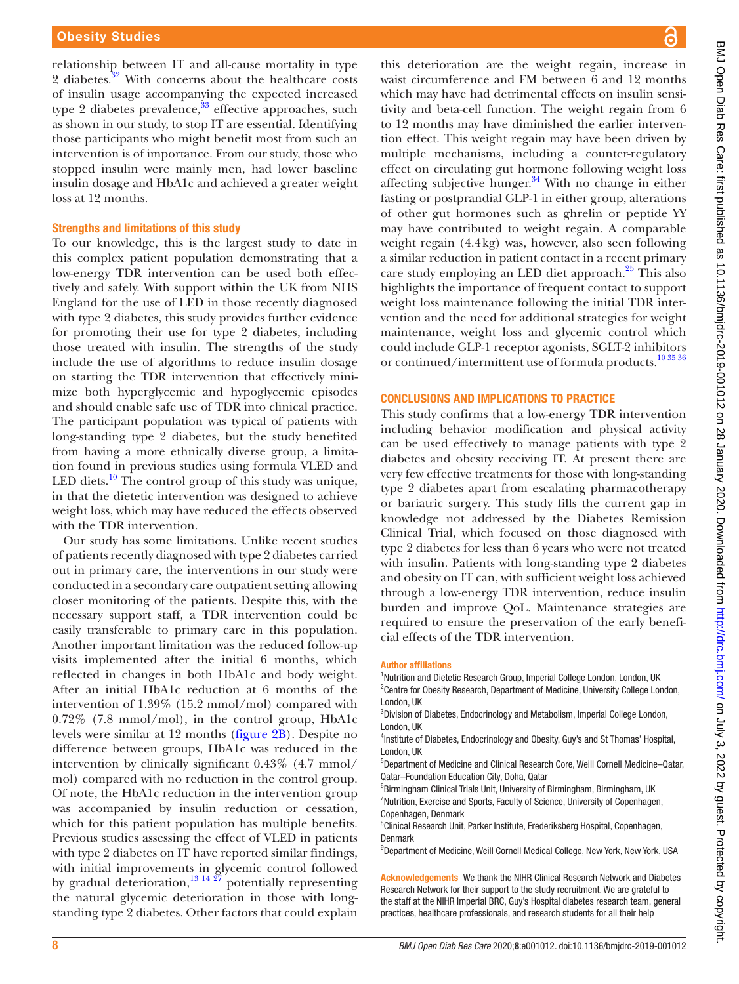relationship between IT and all-cause mortality in type 2 diabetes.<sup>32</sup> With concerns about the healthcare costs of insulin usage accompanying the expected increased type 2 diabetes prevalence, $33$  effective approaches, such as shown in our study, to stop IT are essential. Identifying those participants who might benefit most from such an intervention is of importance. From our study, those who stopped insulin were mainly men, had lower baseline insulin dosage and HbA1c and achieved a greater weight loss at 12 months.

# Strengths and limitations of this study

To our knowledge, this is the largest study to date in this complex patient population demonstrating that a low-energy TDR intervention can be used both effectively and safely. With support within the UK from NHS England for the use of LED in those recently diagnosed with type 2 diabetes, this study provides further evidence for promoting their use for type 2 diabetes, including those treated with insulin. The strengths of the study include the use of algorithms to reduce insulin dosage on starting the TDR intervention that effectively minimize both hyperglycemic and hypoglycemic episodes and should enable safe use of TDR into clinical practice. The participant population was typical of patients with long-standing type 2 diabetes, but the study benefited from having a more ethnically diverse group, a limitation found in previous studies using formula VLED and LED diets.<sup>10</sup> The control group of this study was unique, in that the dietetic intervention was designed to achieve weight loss, which may have reduced the effects observed with the TDR intervention.

Our study has some limitations. Unlike recent studies of patients recently diagnosed with type 2 diabetes carried out in primary care, the interventions in our study were conducted in a secondary care outpatient setting allowing closer monitoring of the patients. Despite this, with the necessary support staff, a TDR intervention could be easily transferable to primary care in this population. Another important limitation was the reduced follow-up visits implemented after the initial 6 months, which reflected in changes in both HbA1c and body weight. After an initial HbA1c reduction at 6 months of the intervention of 1.39% (15.2 mmol/mol) compared with 0.72% (7.8 mmol/mol), in the control group, HbA1c levels were similar at 12 months ([figure](#page-5-1) 2B). Despite no difference between groups, HbA1c was reduced in the intervention by clinically significant 0.43% (4.7 mmol/ mol) compared with no reduction in the control group. Of note, the HbA1c reduction in the intervention group was accompanied by insulin reduction or cessation, which for this patient population has multiple benefits. Previous studies assessing the effect of VLED in patients with type 2 diabetes on IT have reported similar findings, with initial improvements in glycemic control followed by gradual deterioration, $\frac{13 \times 27}{27}$  potentially representing the natural glycemic deterioration in those with longstanding type 2 diabetes. Other factors that could explain

this deterioration are the weight regain, increase in waist circumference and FM between 6 and 12 months which may have had detrimental effects on insulin sensitivity and beta-cell function. The weight regain from 6 to 12 months may have diminished the earlier intervention effect. This weight regain may have been driven by multiple mechanisms, including a counter-regulatory effect on circulating gut hormone following weight loss affecting subjective hunger.<sup>[34](#page-9-3)</sup> With no change in either fasting or postprandial GLP-1 in either group, alterations of other gut hormones such as ghrelin or peptide YY may have contributed to weight regain. A comparable weight regain (4.4kg) was, however, also seen following a similar reduction in patient contact in a recent primary care study employing an LED diet approach. $25$  This also highlights the importance of frequent contact to support weight loss maintenance following the initial TDR intervention and the need for additional strategies for weight maintenance, weight loss and glycemic control which could include GLP-1 receptor agonists, SGLT-2 inhibitors or continued/intermittent use of formula products.<sup>10 35</sup> 36

#### Conclusions and implications to practice

This study confirms that a low-energy TDR intervention including behavior modification and physical activity can be used effectively to manage patients with type 2 diabetes and obesity receiving IT. At present there are very few effective treatments for those with long-standing type 2 diabetes apart from escalating pharmacotherapy or bariatric surgery. This study fills the current gap in knowledge not addressed by the Diabetes Remission Clinical Trial, which focused on those diagnosed with type 2 diabetes for less than 6 years who were not treated with insulin. Patients with long-standing type 2 diabetes and obesity on IT can, with sufficient weight loss achieved through a low-energy TDR intervention, reduce insulin burden and improve QoL. Maintenance strategies are required to ensure the preservation of the early beneficial effects of the TDR intervention.

#### Author affiliations

<sup>1</sup>Nutrition and Dietetic Research Group, Imperial College London, London, UK <sup>2</sup> Centre for Obesity Research, Department of Medicine, University College London, London, UK

<sup>3</sup>Division of Diabetes, Endocrinology and Metabolism, Imperial College London, London, UK

<sup>4</sup>Institute of Diabetes, Endocrinology and Obesity, Guy's and St Thomas' Hospital, London, UK

5 Department of Medicine and Clinical Research Core, Weill Cornell Medicine–Qatar, Qatar–Foundation Education City, Doha, Qatar

<sup>6</sup>Birmingham Clinical Trials Unit, University of Birmingham, Birmingham, UK <sup>7</sup>Nutrition, Exercise and Sports, Faculty of Science, University of Copenhagen, Copenhagen, Denmark

<sup>8</sup>Clinical Research Unit, Parker Institute, Frederiksberg Hospital, Copenhagen, Denmark

<sup>9</sup>Department of Medicine, Weill Cornell Medical College, New York, New York, USA

Acknowledgements We thank the NIHR Clinical Research Network and Diabetes Research Network for their support to the study recruitment. We are grateful to the staff at the NIHR Imperial BRC, Guy's Hospital diabetes research team, general practices, healthcare professionals, and research students for all their help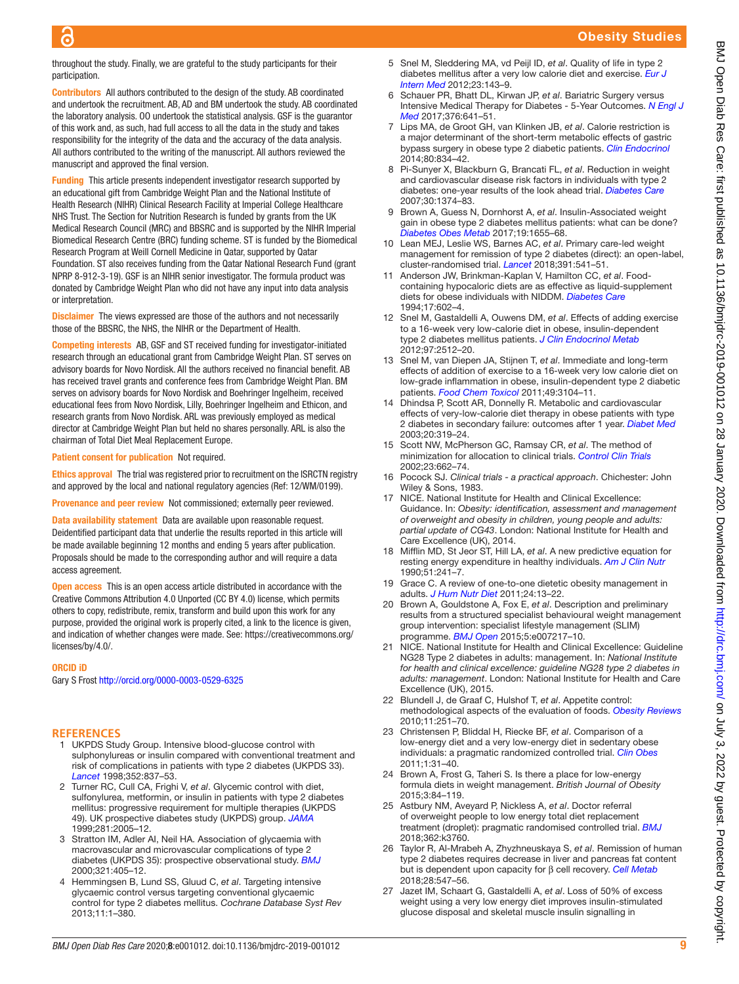# Obesity Studies

throughout the study. Finally, we are grateful to the study participants for their participation.

Contributors All authors contributed to the design of the study. AB coordinated and undertook the recruitment. AB, AD and BM undertook the study. AB coordinated the laboratory analysis. OO undertook the statistical analysis. GSF is the guarantor of this work and, as such, had full access to all the data in the study and takes responsibility for the integrity of the data and the accuracy of the data analysis. All authors contributed to the writing of the manuscript. All authors reviewed the manuscript and approved the final version.

Funding This article presents independent investigator research supported by an educational gift from Cambridge Weight Plan and the National Institute of Health Research (NIHR) Clinical Research Facility at Imperial College Healthcare NHS Trust. The Section for Nutrition Research is funded by grants from the UK Medical Research Council (MRC) and BBSRC and is supported by the NIHR Imperial Biomedical Research Centre (BRC) funding scheme. ST is funded by the Biomedical Research Program at Weill Cornell Medicine in Qatar, supported by Qatar Foundation. ST also receives funding from the Qatar National Research Fund (grant NPRP 8-912-3-19). GSF is an NIHR senior investigator. The formula product was donated by Cambridge Weight Plan who did not have any input into data analysis or interpretation.

**Disclaimer** The views expressed are those of the authors and not necessarily those of the BBSRC, the NHS, the NIHR or the Department of Health.

Competing interests AB, GSF and ST received funding for investigator-initiated research through an educational grant from Cambridge Weight Plan. ST serves on advisory boards for Novo Nordisk. All the authors received no financial benefit. AB has received travel grants and conference fees from Cambridge Weight Plan. BM serves on advisory boards for Novo Nordisk and Boehringer Ingelheim, received educational fees from Novo Nordisk, Lilly, Boehringer Ingelheim and Ethicon, and research grants from Novo Nordisk. ARL was previously employed as medical director at Cambridge Weight Plan but held no shares personally. ARL is also the chairman of Total Diet Meal Replacement Europe.

Patient consent for publication Not required.

Ethics approval The trial was registered prior to recruitment on the ISRCTN registry and approved by the local and national regulatory agencies (Ref: 12/WM/0199).

Provenance and peer review Not commissioned; externally peer reviewed.

Data availability statement Data are available upon reasonable request. Deidentified participant data that underlie the results reported in this article will be made available beginning 12 months and ending 5 years after publication. Proposals should be made to the corresponding author and will require a data access agreement.

Open access This is an open access article distributed in accordance with the Creative Commons Attribution 4.0 Unported (CC BY 4.0) license, which permits others to copy, redistribute, remix, transform and build upon this work for any purpose, provided the original work is properly cited, a link to the licence is given, and indication of whether changes were made. See: [https://creativecommons.org/](https://creativecommons.org/licenses/by/4.0/) [licenses/by/4.0/](https://creativecommons.org/licenses/by/4.0/).

#### ORCID iD

൳

Gary S Frost<http://orcid.org/0000-0003-0529-6325>

#### **References**

- <span id="page-8-0"></span>1 UKPDS Study Group. Intensive blood-glucose control with sulphonylureas or insulin compared with conventional treatment and risk of complications in patients with type 2 diabetes (UKPDS 33). *[Lancet](http://dx.doi.org/10.1016/S0140-6736(98)07019-6)* 1998;352:837–53.
- 2 Turner RC, Cull CA, Frighi V, *et al*. Glycemic control with diet, sulfonylurea, metformin, or insulin in patients with type 2 diabetes mellitus: progressive requirement for multiple therapies (UKPDS 49). UK prospective diabetes study (UKPDS) group. *[JAMA](http://dx.doi.org/10.1001/jama.281.21.2005)* 1999;281:2005–12.
- 3 Stratton IM, Adler AI, Neil HA. Association of glycaemia with macrovascular and microvascular complications of type 2 diabetes (UKPDS 35): prospective observational study. *[BMJ](http://dx.doi.org/10.1136/bmj.321.7258.405)* 2000;321:405–12.
- 4 Hemmingsen B, Lund SS, Gluud C, *et al*. Targeting intensive glycaemic control versus targeting conventional glycaemic control for type 2 diabetes mellitus. *Cochrane Database Syst Rev* 2013;11:1–380.
- <span id="page-8-1"></span>5 Snel M, Sleddering MA, vd Peijl ID, *et al*. Quality of life in type 2 diabetes mellitus after a very low calorie diet and exercise. *[Eur J](http://dx.doi.org/10.1016/j.ejim.2011.07.004)  [Intern Med](http://dx.doi.org/10.1016/j.ejim.2011.07.004)* 2012;23:143–9.
- <span id="page-8-2"></span>6 Schauer PR, Bhatt DL, Kirwan JP, *et al*. Bariatric Surgery versus Intensive Medical Therapy for Diabetes - 5-Year Outcomes. *[N Engl J](http://dx.doi.org/10.1056/NEJMoa1600869)  [Med](http://dx.doi.org/10.1056/NEJMoa1600869)* 2017;376:641–51.
- <span id="page-8-3"></span>7 Lips MA, de Groot GH, van Klinken JB, *et al*. Calorie restriction is a major determinant of the short-term metabolic effects of gastric bypass surgery in obese type 2 diabetic patients. *[Clin Endocrinol](http://dx.doi.org/10.1111/cen.12254)* 2014;80:834–42.
- <span id="page-8-4"></span>8 Pi-Sunyer X, Blackburn G, Brancati FL, *et al*. Reduction in weight and cardiovascular disease risk factors in individuals with type 2 diabetes: one-year results of the look ahead trial. *[Diabetes Care](http://dx.doi.org/10.2337/dc07-0048)* 2007;30:1374–83.
- <span id="page-8-18"></span>9 Brown A, Guess N, Dornhorst A, *et al*. Insulin-Associated weight gain in obese type 2 diabetes mellitus patients: what can be done? *[Diabetes Obes Metab](http://dx.doi.org/10.1111/dom.13009)* 2017;19:1655–68.
- <span id="page-8-5"></span>10 Lean MEJ, Leslie WS, Barnes AC, *et al*. Primary care-led weight management for remission of type 2 diabetes (direct): an open-label, cluster-randomised trial. *[Lancet](http://dx.doi.org/10.1016/S0140-6736(17)33102-1)* 2018;391:541–51.
- <span id="page-8-6"></span>11 Anderson JW, Brinkman-Kaplan V, Hamilton CC, *et al*. Foodcontaining hypocaloric diets are as effective as liquid-supplement diets for obese individuals with NIDDM. *[Diabetes Care](http://dx.doi.org/10.2337/diacare.17.6.602)* 1994;17:602–4.
- <span id="page-8-17"></span>12 Snel M, Gastaldelli A, Ouwens DM, *et al*. Effects of adding exercise to a 16-week very low-calorie diet in obese, insulin-dependent type 2 diabetes mellitus patients. *[J Clin Endocrinol Metab](http://dx.doi.org/10.1210/jc.2011-3178)* 2012;97:2512–20.
- <span id="page-8-19"></span>13 Snel M, van Diepen JA, Stijnen T, *et al*. Immediate and long-term effects of addition of exercise to a 16-week very low calorie diet on low-grade inflammation in obese, insulin-dependent type 2 diabetic patients. *[Food Chem Toxicol](http://dx.doi.org/10.1016/j.fct.2011.09.032)* 2011;49:3104–11.
- 14 Dhindsa P, Scott AR, Donnelly R. Metabolic and cardiovascular effects of very-low-calorie diet therapy in obese patients with type 2 diabetes in secondary failure: outcomes after 1 year. *[Diabet Med](http://dx.doi.org/10.1046/j.1464-5491.2003.00937.x)* 2003;20:319–24.
- <span id="page-8-7"></span>15 Scott NW, McPherson GC, Ramsay CR, *et al*. The method of minimization for allocation to clinical trials. *[Control Clin Trials](http://dx.doi.org/10.1016/S0197-2456(02)00242-8)* 2002;23:662–74.
- <span id="page-8-8"></span>16 Pocock SJ. *Clinical trials - a practical approach*. Chichester: John Wiley & Sons, 1983.
- <span id="page-8-9"></span>17 NICE. National Institute for Health and Clinical Excellence: Guidance. In: *Obesity: identification, assessment and management of overweight and obesity in children, young people and adults: partial update of CG43*. London: National Institute for Health and Care Excellence (UK), 2014.
- <span id="page-8-10"></span>18 Mifflin MD, St Jeor ST, Hill LA, *et al*. A new predictive equation for resting energy expenditure in healthy individuals. *[Am J Clin Nutr](http://dx.doi.org/10.1093/ajcn/51.2.241)* 1990;51:241–7.
- <span id="page-8-11"></span>19 Grace C. A review of one-to-one dietetic obesity management in adults. *[J Hum Nutr Diet](http://dx.doi.org/10.1111/j.1365-277X.2010.01137.x)* 2011;24:13–22.
- 20 Brown A, Gouldstone A, Fox E, *et al*. Description and preliminary results from a structured specialist behavioural weight management group intervention: specialist lifestyle management (SLIM) programme. *[BMJ Open](http://dx.doi.org/10.1136/bmjopen-2014-007217)* 2015;5:e007217–10.
- <span id="page-8-12"></span>21 NICE. National Institute for Health and Clinical Excellence: Guideline NG28 Type 2 diabetes in adults: management. In: *National Institute for health and clinical excellence: guideline NG28 type 2 diabetes in adults: management*. London: National Institute for Health and Care Excellence (UK), 2015.
- <span id="page-8-13"></span>22 Blundell J, de Graaf C, Hulshof T, *et al*. Appetite control: methodological aspects of the evaluation of foods. *[Obesity Reviews](http://dx.doi.org/10.1111/j.1467-789X.2010.00714.x)* 2010;11:251–70.
- <span id="page-8-14"></span>23 Christensen P, Bliddal H, Riecke BF, *et al*. Comparison of a low-energy diet and a very low-energy diet in sedentary obese individuals: a pragmatic randomized controlled trial. *[Clin Obes](http://dx.doi.org/10.1111/j.1758-8111.2011.00006.x)* 2011;1:31–40.
- <span id="page-8-15"></span>24 Brown A, Frost G, Taheri S. Is there a place for low-energy formula diets in weight management. *British Journal of Obesity* 2015;3:84–119.
- <span id="page-8-20"></span>25 Astbury NM, Aveyard P, Nickless A, *et al*. Doctor referral of overweight people to low energy total diet replacement treatment (droplet): pragmatic randomised controlled trial. *[BMJ](http://dx.doi.org/10.1136/bmj.k3760)* 2018;362:k3760.
- <span id="page-8-16"></span>26 Taylor R, Al-Mrabeh A, Zhyzhneuskaya S, *et al*. Remission of human type 2 diabetes requires decrease in liver and pancreas fat content but is dependent upon capacity for β cell recovery. *[Cell Metab](http://dx.doi.org/10.1016/j.cmet.2018.07.003)* 2018;28:547–56.
- 27 Jazet IM, Schaart G, Gastaldelli A, *et al*. Loss of 50% of excess weight using a very low energy diet improves insulin-stimulated glucose disposal and skeletal muscle insulin signalling in